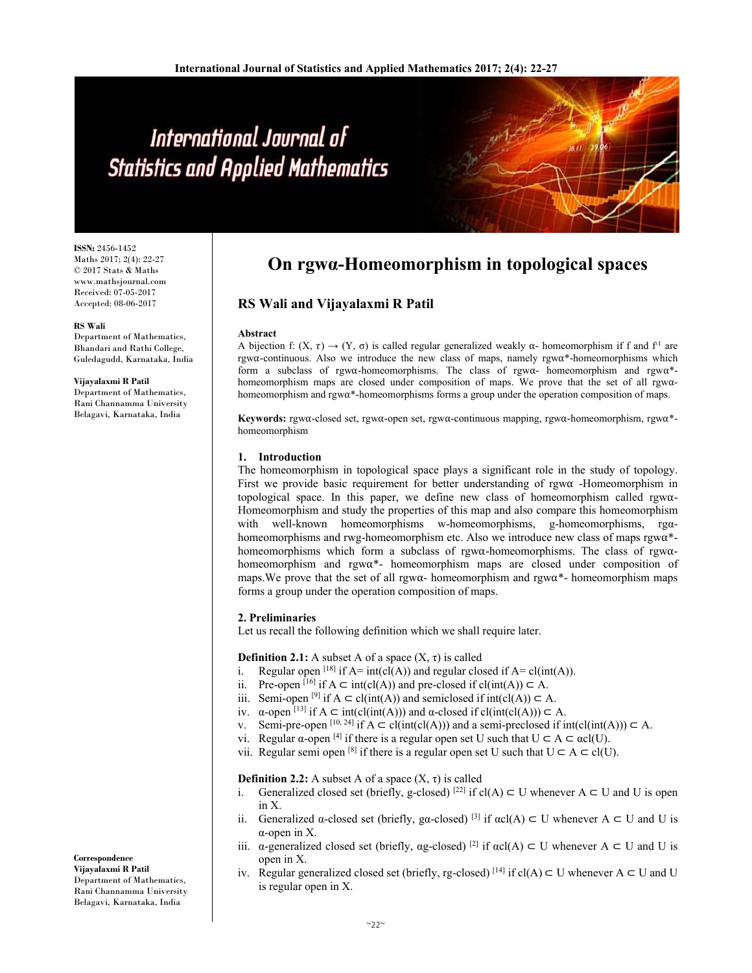# International Journal of **Statistics and Applied Mathematics**

**ISSN:** 2456-1452 Maths 2017; 2(4): 22-27 © 2017 Stats & Maths www.mathsjournal.com Received: 07-05-2017 Accepted: 08-06-2017

## **RS Wali**

Department of Mathematics, Bhandari and Rathi College, Guledagudd, Karnataka, India

**Vijayalaxmi R Patil** Department of Mathematics, Rani Channamma University Belagavi, Karnataka, India

# **On rgwα-Homeomorphism in topological spaces**

## **RS Wali and Vijayalaxmi R Patil**

#### **Abstract**

A bijection f:  $(X, \tau) \rightarrow (Y, \sigma)$  is called regular generalized weakly  $\alpha$ - homeomorphism if f and f<sup>-1</sup> are rgw⍺-continuous. Also we introduce the new class of maps, namely rgw⍺\*-homeomorphisms which form a subclass of rgw $\alpha$ -homeomorphisms. The class of rgw $\alpha$ -homeomorphism and rgw $\alpha^*$ homeomorphism maps are closed under composition of maps. We prove that the set of all rgw $\alpha$ homeomorphism and  $\text{rgwa*-homeomorphisms}$  forms a group under the operation composition of maps.

**Keywords:** rgw⍺-closed set, rgw⍺-open set, rgw⍺-continuous mapping, rgw⍺-homeomorphism, rgw⍺\* homeomorphism

## **1. Introduction**

The homeomorphism in topological space plays a significant role in the study of topology. First we provide basic requirement for better understanding of rgw $\alpha$  -Homeomorphism in topological space. In this paper, we define new class of homeomorphism called rgw⍺- Homeomorphism and study the properties of this map and also compare this homeomorphism with well-known homeomorphisms w-homeomorphisms, g-homeomorphisms, rgαhomeomorphisms and rwg-homeomorphism etc. Also we introduce new class of maps  $\gamma$ gw $\alpha$ \*homeomorphisms which form a subclass of rgw $\alpha$ -homeomorphisms. The class of rgw $\alpha$ homeomorphism and rgw $\alpha^*$ - homeomorphism maps are closed under composition of maps. We prove that the set of all rgw $\alpha$ - homeomorphism and rgw $\alpha^*$ - homeomorphism maps forms a group under the operation composition of maps.

### **2. Preliminaries**

Let us recall the following definition which we shall require later.

## **Definition 2.1:** A subset A of a space  $(X, \tau)$  is called

- i. Regular open <sup>[18]</sup> if  $A=int(cl(A))$  and regular closed if  $A=cl(int(A))$ .
- ii. Pre-open  $[16]$  if  $A \subset \text{int}(cl(A))$  and pre-closed if  $cl(int(A)) \subset A$ .
- iii. Semi-open <sup>[9]</sup> if  $A \subset \text{cl(int}(A))$  and semiclosed if  $\text{int}(\text{cl}(A)) \subset A$ .
- iv.  $\alpha$ -open [13] if  $A \subset \text{int}(cl(int(A)))$  and  $\alpha$ -closed if  $cl(int(cl(A))) \subset A$ .
- v. Semi-pre-open  $[10, 24]$  if  $A \subset cl(int(cl(A)))$  and a semi-preclosed if  $int(cl(int(A))) \subset A$ .
- vi. Regular  $\alpha$ -open [4] if there is a regular open set U such that  $U \subset A \subset \alpha cl(U)$ .
- vii. Regular semi open <sup>[8]</sup> if there is a regular open set U such that  $U \subset A \subset cl(U)$ .

## **Definition 2.2:** A subset A of a space  $(X, \tau)$  is called

- i. Generalized closed set (briefly, g-closed)  $[22]$  if cl(A) ⊂ U whenever A ⊂ U and U is open in X.
- ii. Generalized α-closed set (briefly, gα-closed) <sup>[3]</sup> if  $\alpha c(A) \subset U$  whenever  $A \subset U$  and U is α-open in X.
- iii. α-generalized closed set (briefly, αg-closed) <sup>[2]</sup> if  $\alpha$ cl(A) ⊂ U whenever A ⊂ U and U is open in X.
- iv. Regular generalized closed set (briefly, rg-closed) <sup>[14]</sup> if cl(A)  $\subset$  U whenever A  $\subset$  U and U is regular open in X.

### **Correspondence**

**Vijayalaxmi R Patil**  Department of Mathematics, Rani Channamma University Belagavi, Karnataka, India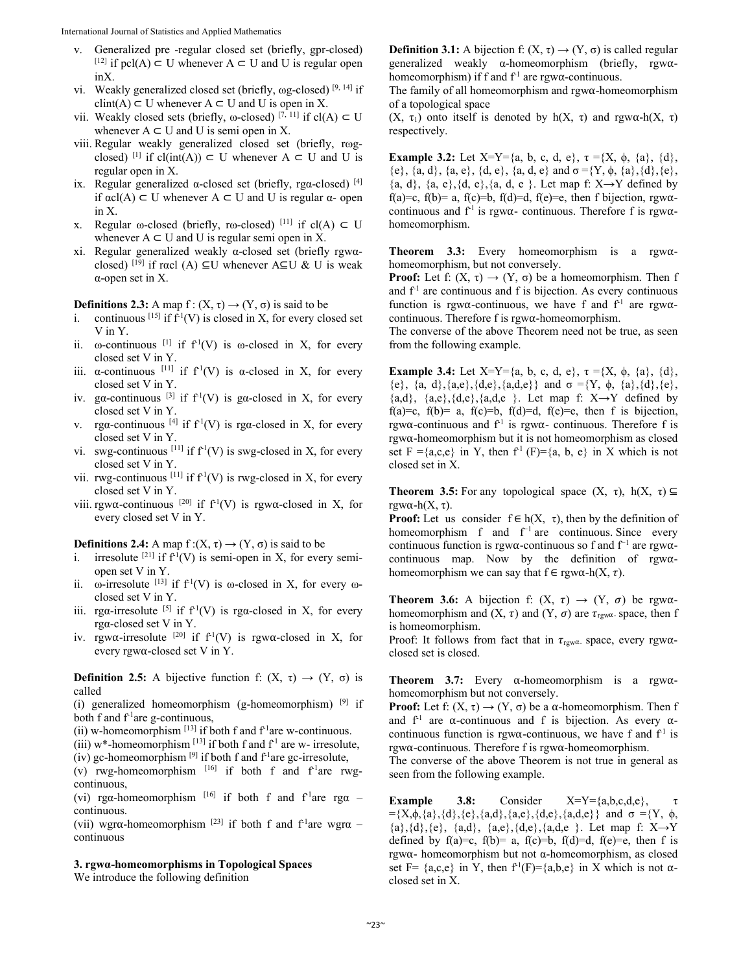- v. Generalized pre -regular closed set (briefly, gpr-closed) [12] if pcl(A)  $\subset$  U whenever A  $\subset$  U and U is regular open inX.
- vi. Weakly generalized closed set (briefly, ωg-closed) [9, 14] if  $clint(A) \subset U$  whenever  $A \subset U$  and U is open in X.
- vii. Weakly closed sets (briefly,  $\omega$ -closed) [7, 11] if cl(A)  $\subset U$ whenever  $A \subset U$  and U is semi open in X.
- viii. Regular weakly generalized closed set (briefly, rωgclosed) <sup>[1]</sup> if cl(int(A)) ⊂ U whenever A ⊂ U and U is regular open in X.
- ix. Regular generalized  $\alpha$ -closed set (briefly, rg $\alpha$ -closed) [4] if αcl(A) ⊂ U whenever A ⊂ U and U is regular α- open in X.
- x. Regular ω-closed (briefly, rω-closed) [11] if cl(A)  $\subset U$ whenever  $A \subset U$  and U is regular semi open in X.
- xi. Regular generalized weakly α-closed set (briefly rgwαclosed) <sup>[19]</sup> if racl (A) ⊆U whenever A⊆U & U is weak α-open set in X.

**Definitions 2.3:** A map  $f: (X, \tau) \rightarrow (Y, \sigma)$  is said to be

- i. continuous <sup>[15]</sup> if  $\hat{f}^{1}(V)$  is closed in X, for every closed set V in Y.
- ii.  $\omega$ -continuous <sup>[1]</sup> if  $f<sup>1</sup>(V)$  is  $\omega$ -closed in X, for every closed set V in Y.
- iii.  $\alpha$ -continuous [11] if  $f'(V)$  is  $\alpha$ -closed in X, for every closed set V in Y.
- iv. gα-continuous  $[3]$  if  $f<sup>1</sup>(V)$  is ga-closed in X, for every closed set V in Y.
- v. rga-continuous <sup>[4]</sup> if  $f<sup>1</sup>(V)$  is rga-closed in X, for every closed set V in Y.
- vi. swg-continuous  $[11]$  if  $f<sup>1</sup>(V)$  is swg-closed in X, for every closed set V in Y.
- vii. rwg-continuous  $[11]$  if  $f<sup>1</sup>(V)$  is rwg-closed in X, for every closed set V in Y.
- viii. rgw $\alpha$ -continuous [20] if  $f^{-1}(V)$  is rgw $\alpha$ -closed in X, for every closed set V in Y.

**Definitions 2.4:** A map  $f:(X, \tau) \rightarrow (Y, \sigma)$  is said to be

- i. irresolute  $[21]$  if  $f<sup>1</sup>(V)$  is semi-open in X, for every semiopen set V in Y.
- ii.  $\omega$ -irresolute <sup>[13]</sup> if  $f<sup>1</sup>(V)$  is  $\omega$ -closed in X, for every  $\omega$ closed set V in Y.
- iii. rga-irresolute <sup>[5]</sup> if  $f<sup>1</sup>(V)$  is rga-closed in X, for every rgα-closed set V in Y.
- iv. rgw $\alpha$ -irresolute <sup>[20]</sup> if  $f^{-1}(V)$  is rgw $\alpha$ -closed in X, for every rgw⍺-closed set V in Y.

**Definition 2.5:** A bijective function f:  $(X, \tau) \rightarrow (Y, \sigma)$  is called

(i) generalized homeomorphism (g-homeomorphism)  $[9]$  if both f and  $f<sup>1</sup>$ are g-continuous,

(ii) w-homeomorphism  $^{[13]}$  if both f and  $f<sup>1</sup>$ are w-continuous.

(iii) w\*-homeomorphism  $^{[13]}$  if both f and  $f<sup>1</sup>$  are w- irresolute,

(iv) gc-homeomorphism  $[9]$  if both f and  $f<sup>1</sup>$ are gc-irresolute,

(v) rwg-homeomorphism  $[16]$  if both f and f<sup>-1</sup>are rwgcontinuous,

(vi) rga-homeomorphism  $[16]$  if both f and f<sup>-1</sup>are rga – continuous.

(vii) wgr $\alpha$ -homeomorphism <sup>[23]</sup> if both f and f<sup>-1</sup>are wgr $\alpha$  – continuous

## **3. rgwα-homeomorphisms in Topological Spaces**

We introduce the following definition

**Definition 3.1:** A bijection f:  $(X, \tau) \rightarrow (Y, \sigma)$  is called regular generalized weakly  $\alpha$ -homeomorphism (briefly, rgw $\alpha$ homeomorphism) if f and  $f<sup>1</sup>$  are rgw $\alpha$ -continuous.

The family of all homeomorphism and  $\gamma$  rgw $\alpha$ -homeomorphism of a topological space

(X,  $\tau_1$ ) onto itself is denoted by h(X,  $\tau$ ) and rgw $\alpha$ -h(X,  $\tau$ ) respectively.

**Example 3.2:** Let  $X=Y=\{a, b, c, d, e\}$ ,  $\tau = \{X, \phi, \{a\}, \{d\}$ , {e},  $\{a, d\}$ ,  $\{a, e\}$ ,  $\{d, e\}$ ,  $\{a, d, e\}$  and  $\sigma = \{Y, \phi, \{a\}, \{d\}, \{e\}$ ,  $\{a, d\}, \{a, e\}, \{d, e\}, \{a, d, e\}$ . Let map f:  $X \rightarrow Y$  defined by f(a)=c, f(b)= a, f(c)=b, f(d)=d, f(e)=e, then f bijection, rgw $\alpha$ continuous and  $f<sup>1</sup>$  is rgw $\alpha$ - continuous. Therefore f is rgw $\alpha$ homeomorphism.

**Theorem 3.3:** Every homeomorphism is a rgw $\alpha$ homeomorphism, but not conversely.

**Proof:** Let f:  $(X, \tau) \rightarrow (Y, \sigma)$  be a homeomorphism. Then f and  $f<sup>1</sup>$  are continuous and f is bijection. As every continuous function is rgw $\alpha$ -continuous, we have f and  $f<sup>1</sup>$  are rgw $\alpha$ continuous. Therefore  $f$  is rgw $\alpha$ -homeomorphism.

The converse of the above Theorem need not be true, as seen from the following example.

**Example 3.4:** Let  $X=Y=\{a, b, c, d, e\}$ ,  $\tau = \{X, \phi, \{a\}, \{d\}$ , {e}, {a, d}, {a,e}, {d,e}, {a,d,e}} and  $\sigma = \{Y, \phi, \{a\}, \{d\}, \{e\},\$  ${a,d}, {a,e}, {d,e}, {a,d,e}$ . Let map f:  $X \rightarrow Y$  defined by  $f(a)=c$ ,  $f(b)=a$ ,  $f(c)=b$ ,  $f(d)=d$ ,  $f(e)=e$ , then f is bijection, rgw $\alpha$ -continuous and  $f<sup>1</sup>$  is rgw $\alpha$ -continuous. Therefore f is rgw⍺-homeomorphism but it is not homeomorphism as closed set F ={a,c,e} in Y, then  $f'$  (F}={a, b, e} in X which is not closed set in X.

**Theorem 3.5:** For any topological space  $(X, \tau)$ ,  $h(X, \tau) \subseteq$ rgwα-h(X, τ).

**Proof:** Let us consider  $f \in h(X, \tau)$ , then by the definition of homeomorphism f and f−1 are continuous. Since every continuous function is rgw⍺-continuous so f and f−1 are rgw⍺ continuous map. Now by the definition of rgw⍺ homeomorphism we can say that  $f \in \text{rgw}\alpha-h(X, \tau)$ .

**Theorem 3.6:** A bijection f:  $(X, \tau) \rightarrow (Y, \sigma)$  be rgw $\alpha$ homeomorphism and  $(X, \tau)$  and  $(Y, \sigma)$  are  $\tau_{\text{rew}}$  space, then f is homeomorphism.

Proof: It follows from fact that in  $\tau_{\text{rgw\alpha}}$  space, every rgw $\alpha$ closed set is closed.

**Theorem 3.7:** Every  $\alpha$ -homeomorphism is a rgw $\alpha$ homeomorphism but not conversely.

**Proof:** Let f:  $(X, \tau) \rightarrow (Y, \sigma)$  be a  $\alpha$ -homeomorphism. Then f and  $f<sup>-1</sup>$  are  $\alpha$ -continuous and f is bijection. As every  $\alpha$ continuous function is rgw $\alpha$ -continuous, we have f and  $f<sup>1</sup>$  is rgw⍺-continuous. Therefore f is rgw⍺-homeomorphism.

The converse of the above Theorem is not true in general as seen from the following example.

**Example** 3.8: Consider  $X=Y=\{a,b,c,d,e\},\$ ={X, $\phi$ , {a}, {d}, {e}, {a,d}, {a,e}, {d,e}, {a,d,e}} and  $\sigma$  ={Y,  $\phi$ ,  ${a}, {d}, {e}, {a,d}, {a,e}, {d,e}, {a,d,e}$ . Let map f:  $X \rightarrow Y$ defined by  $f(a)=c$ ,  $f(b)=a$ ,  $f(c)=b$ ,  $f(d)=d$ ,  $f(e)=e$ , then f is rgw⍺- homeomorphism but not α-homeomorphism, as closed set F=  $\{a,c,e\}$  in Y, then  $f^1(F)=\{a,b,e\}$  in X which is not  $\alpha$ closed set in X.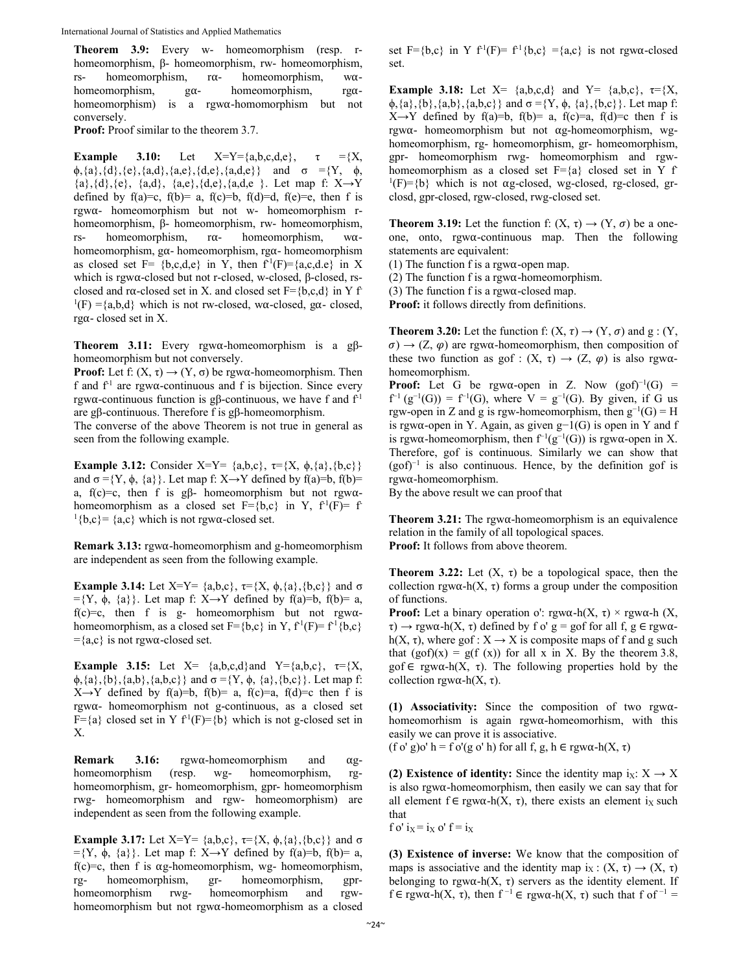**Theorem 3.9:** Every w- homeomorphism (resp. rhomeomorphism, β- homeomorphism, rw- homeomorphism, rs- homeomorphism,  $r\alpha$ - homeomorphism, w $\alpha$ homeomorphism,  $g\alpha$ - homeomorphism, rg $\alpha$ homeomorphism) is a rgw⍺-homomorphism but not conversely.

**Proof:** Proof similar to the theorem 3.7.

**Example 3.10:** Let  $X=Y=\{a,b,c,d,e\}$ ,  $\tau =\{X,$  $\phi$ , {a}, {d}, {e}, {a,d}, {a,e}, {d,e}, {a,d,e}} and  $\sigma = \{Y, \phi$ ,  ${a}, {d}, {e}, {a,d}, {a,e}, {d,e}, {a,d,e}$ . Let map f:  $X \rightarrow Y$ defined by  $f(a)=c$ ,  $f(b)=a$ ,  $f(c)=b$ ,  $f(d)=d$ ,  $f(e)=e$ , then f is rgw⍺- homeomorphism but not w- homeomorphism rhomeomorphism, β- homeomorphism, rw- homeomorphism, rs- homeomorphism,  $r\alpha$ - homeomorphism, w $\alpha$ homeomorphism,  $g\alpha$ - homeomorphism, rg $\alpha$ - homeomorphism as closed set F= {b,c,d,e} in Y, then  $f<sup>1</sup>(F)=$ {a,c,d.e} in X which is rgw⍺-closed but not r-closed, w-closed, β-closed, rsclosed and r $\alpha$ -closed set in X. and closed set F={b,c,d} in Y f- $1(F) = \{a,b,d\}$  which is not rw-closed, w $\alpha$ -closed, g $\alpha$ -closed,  $r g\alpha$ - closed set in X.

**Theorem 3.11:** Every rgw⍺-homeomorphism is a gβhomeomorphism but not conversely.

**Proof:** Let f:  $(X, \tau) \rightarrow (Y, \sigma)$  be rgw $\alpha$ -homeomorphism. Then f and  $f<sup>1</sup>$  are rgw $\alpha$ -continuous and f is bijection. Since every rgwα-continuous function is gβ-continuous, we have f and  $f<sup>1</sup>$ are gβ-continuous. Therefore f is gβ-homeomorphism.

The converse of the above Theorem is not true in general as seen from the following example.

**Example 3.12:** Consider X=Y=  $\{a,b,c\}$ ,  $\tau = \{X, \phi, \{a\}, \{b,c\}\}\$ and  $\sigma = \{Y, \phi, \{a\}\}\$ . Let map f: X→Y defined by f(a)=b, f(b)= a, f(c)=c, then f is g $\beta$ - homeomorphism but not rgw $\alpha$ homeomorphism as a closed set  $F=\{b,c\}$  in Y,  $f^1(F)= f$  ${}^{1}$ {b,c}= {a,c} which is not rgw $\alpha$ -closed set.

**Remark 3.13:** rgw⍺-homeomorphism and g-homeomorphism are independent as seen from the following example.

**Example 3.14:** Let X=Y=  $\{a,b,c\}$ ,  $\tau = \{X, \phi, \{a\}, \{b,c\}\}\$  and  $\sigma$  $=\{Y, \phi, \{a\}\}\$ . Let map f: X→Y defined by f(a)=b, f(b)= a, f(c)=c, then f is g- homeomorphism but not rgw $\alpha$ homeomorphism, as a closed set  $F = {b,c}$  in Y,  $f<sup>1</sup>(F) = f<sup>1</sup>{b,c}$  $=\{a,c\}$  is not rgw $\alpha$ -closed set.

**Example 3.15:** Let  $X = \{a,b,c,d\}$  and  $Y = \{a,b,c\}, \tau = \{X,$  $\phi$ , {a}, {b}, {a,b}, {a,b,c}} and  $\sigma = \{Y, \phi, \{a\}, \{b,c\}\}\$ . Let map f:  $X \rightarrow Y$  defined by f(a)=b, f(b)= a, f(c)=a, f(d)=c then f is rgw $\alpha$ - homeomorphism not g-continuous, as a closed set  $F=\{a\}$  closed set in Y  $f<sup>1</sup>(F)=\{b\}$  which is not g-closed set in X.

**Remark 3.16:** rgw⍺-homeomorphism and ⍺ghomeomorphism (resp. wg- homeomorphism, rghomeomorphism, gr- homeomorphism, gpr- homeomorphism rwg- homeomorphism and rgw- homeomorphism) are independent as seen from the following example.

**Example 3.17:** Let  $X = Y = \{a,b,c\}$ ,  $\tau = \{X, \phi, \{a\}, \{b,c\}\}\$ and  $\sigma$  $=\{Y, \phi, \{a\}\}\$ . Let map f: X→Y defined by f(a)=b, f(b)= a,  $f(c)=c$ , then f is  $\alpha$ g-homeomorphism, wg- homeomorphism, rg- homeomorphism, gr- homeomorphism, gprhomeomorphism rwg- homeomorphism and rgwhomeomorphism but not rgw⍺-homeomorphism as a closed

set F={b,c} in Y  $f<sup>1</sup>(F)= f<sup>1</sup>{b,c} = {a,c}$  is not rgw $\alpha$ -closed set.

**Example 3.18:** Let  $X = \{a,b,c,d\}$  and  $Y = \{a,b,c\}, \tau = \{X,$  $\phi$ , {a}, {b}, {a,b}, {a,b,c}} and  $\sigma = \{Y, \phi, \{a\}, \{b,c\}\}\$ . Let map f:  $X \rightarrow Y$  defined by f(a)=b, f(b)= a, f(c)=a, f(d)=c then f is rgw $\alpha$ - homeomorphism but not  $\alpha$ g-homeomorphism, wghomeomorphism, rg- homeomorphism, gr- homeomorphism, gpr- homeomorphism rwg- homeomorphism and rgwhomeomorphism as a closed set  $F=\{a\}$  closed set in Y f- $1(F)=\{b\}$  which is not  $\alpha$ g-closed, wg-closed, rg-closed, grclosd, gpr-closed, rgw-closed, rwg-closed set.

**Theorem 3.19:** Let the function f:  $(X, \tau) \rightarrow (Y, \sigma)$  be a oneone, onto, rgw⍺-continuous map. Then the following statements are equivalent:

(1) The function f is a rgw $\alpha$ -open map.

(2) The function f is a rgw $\alpha$ -homeomorphism.

(3) The function f is a rgw $\alpha$ -closed map.

**Proof:** it follows directly from definitions.

**Theorem 3.20:** Let the function f:  $(X, \tau) \rightarrow (Y, \sigma)$  and  $g : (Y, \tau) \rightarrow (Y, \sigma)$  $\sigma$ )  $\rightarrow$  (Z,  $\varphi$ ) are rgw $\alpha$ -homeomorphism, then composition of these two function as gof :  $(X, \tau) \rightarrow (Z, \varphi)$  is also rgw $\alpha$ homeomorphism.

**Proof:** Let G be rgw $\alpha$ -open in Z. Now  $(g \circ f)^{-1}(G)$  =  $f^{-1}(g^{-1}(G)) = f^{-1}(G)$ , where  $V = g^{-1}(G)$ . By given, if G us rgw-open in Z and g is rgw-homeomorphism, then  $g^{-1}(G) = H$ is rgw⍺-open in Y. Again, as given g−1(G) is open in Y and f is rgw $\alpha$ -homeomorphism, then  $f^{-1}(g^{-1}(G))$  is rgw $\alpha$ -open in X. Therefore, gof is continuous. Similarly we can show that (gof)−1 is also continuous. Hence, by the definition gof is rgw⍺-homeomorphism.

By the above result we can proof that

**Theorem 3.21:** The rgw⍺-homeomorphism is an equivalence relation in the family of all topological spaces. **Proof:** It follows from above theorem.

**Theorem 3.22:** Let  $(X, \tau)$  be a topological space, then the collection rgw $\alpha$ -h(X,  $\tau$ ) forms a group under the composition of functions.

**Proof:** Let a binary operation o':  $\text{rgw}\alpha$ -h(X,  $\tau$ ) ×  $\text{rgw}\alpha$ -h(X,  $\tau$ )  $\rightarrow$  rgw $\alpha$ -h(X,  $\tau$ ) defined by f o' g = gof for all f, g  $\in$  rgw $\alpha$ h(X,  $\tau$ ), where gof :  $X \rightarrow X$  is composite maps of f and g such that  $(gof)(x) = g(f(x))$  for all x in X. By the theorem 3.8, gof  $\in$  rgw $\alpha$ -h(X,  $\tau$ ). The following properties hold by the collection rgw $\alpha$ -h(X,  $\tau$ ).

**(1) Associativity:** Since the composition of two rgw⍺ homeomorhism is again  $\text{rgwa-homeomorhism}$ , with this easily we can prove it is associative.

(f o' g)o' h = f o'(g o' h) for all f, g, h  $\in$  rgw $\alpha$ -h(X,  $\tau$ )

**(2) Existence of identity:** Since the identity map  $i_X: X \to X$ is also rgw $\alpha$ -homeomorphism, then easily we can say that for all element  $f \in \text{rgwa-h}(X, \tau)$ , there exists an element i<sub>x</sub> such that

 $f \circ' i_X = i_X \circ' f = i_X$ 

**(3) Existence of inverse:** We know that the composition of maps is associative and the identity map  $i_X : (X, \tau) \rightarrow (X, \tau)$ belonging to rgw $\alpha$ -h(X,  $\tau$ ) servers as the identity element. If f ∈ rgw $\alpha$ -h(X,  $\tau$ ), then f<sup>-1</sup> ∈ rgw $\alpha$ -h(X,  $\tau$ ) such that f of<sup>-1</sup> =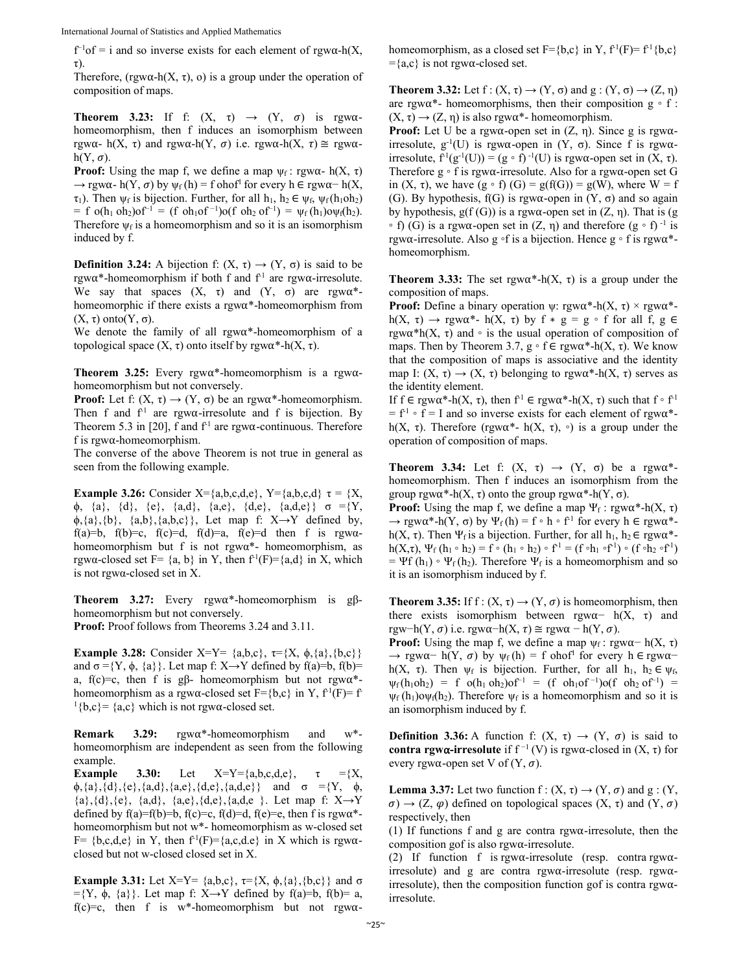International Journal of Statistics and Applied Mathematics

 $f^{-1}$ of = i and so inverse exists for each element of rgw $\alpha$ -h(X, τ).

Therefore, (rgw $\alpha$ -h(X,  $\tau$ ), o) is a group under the operation of composition of maps.

**Theorem 3.23:** If f:  $(X, \tau) \rightarrow (Y, \sigma)$  is rgw $\alpha$ homeomorphism, then f induces an isomorphism between rgwα- h(X, τ) and rgwα-h(Y, σ) i.e. rgwα-h(X, τ)  $\cong$  rgwα $h(Y, \sigma)$ .

**Proof:** Using the map f, we define a map  $\psi_f$ : rgw $\alpha$ - h(X, τ)  $\rightarrow$  rgwα- h(Y, σ) by  $\psi_f$  (h) = f ohof<sup>1</sup> for every h ∈ rgwα- h(X,  $\tau_1$ ). Then  $\psi_f$  is bijection. Further, for all  $h_1, h_2 \in \psi_f$ ,  $\psi_f(h_1 \circ h_2)$  $= f \cdot o(h_1 \cdot oh_2) \cdot of^{-1} = (f \cdot oh_1 \cdot of^{-1}) \cdot o(f \cdot oh_2 \cdot of^{-1}) = \psi_f(h_1) \cdot o(\psi_f(h_2)).$ Therefore  $\psi_f$  is a homeomorphism and so it is an isomorphism induced by f.

**Definition 3.24:** A bijection f:  $(X, \tau) \rightarrow (Y, \sigma)$  is said to be rgw $\alpha^*$ -homeomorphism if both f and  $f<sup>1</sup>$  are rgw $\alpha$ -irresolute. We say that spaces  $(X, \tau)$  and  $(Y, \sigma)$  are rgw $\alpha^*$ homeomorphic if there exists a  $\text{rgw}\alpha^*$ -homeomorphism from (X, τ) onto(Y, σ).

We denote the family of all  $\text{rgwa*-homeomorphism}$  of a topological space  $(X, τ)$  onto itself by rgw $α^*$ -h $(X, τ)$ .

**Theorem 3.25:** Every rgw $\alpha^*$ -homeomorphism is a rgw $\alpha$ homeomorphism but not conversely.

**Proof:** Let f:  $(X, \tau) \rightarrow (Y, \sigma)$  be an rgw $\alpha^*$ -homeomorphism. Then f and  $f<sup>1</sup>$  are rgw $\alpha$ -irresolute and f is bijection. By Theorem 5.3 in [20], f and  $f<sup>1</sup>$  are rgw $\alpha$ -continuous. Therefore  $f$  is rgw $\alpha$ -homeomorphism.

The converse of the above Theorem is not true in general as seen from the following example.

**Example 3.26:** Consider X={a,b,c,d,e}, Y={a,b,c,d}  $\tau$  = {X,  $\phi$ , {a}, {d}, {e}, {a,d}, {a,e}, {d,e}, {a,d,e}} σ ={Y,  $\phi$ , {a}, {b}, {a,b}, {a,b,c}}, Let map f: X→Y defined by, f(a)=b, f(b)=c, f(c)=d, f(d)=a, f(e)=d then f is rgwahomeomorphism but f is not rgwa\*- homeomorphism, as rgwa-closed set F=  $\{a, b\}$  in Y, then  $f^1(F)=\{a,d\}$  in X, which is not rgwα-closed set in X.

**Theorem 3.27:** Every rgw⍺\*-homeomorphism is gβhomeomorphism but not conversely.

**Proof:** Proof follows from Theorems 3.24 and 3.11.

**Example 3.28:** Consider X=Y=  $\{a,b,c\}$ ,  $\tau = \{X, \phi, \{a\}, \{b,c\}\}\$ and  $\sigma = \{Y, \phi, \{a\}\}\$ . Let map f: X→Y defined by f(a)=b, f(b)= a, f(c)=c, then f is g $\beta$ - homeomorphism but not rgw $\alpha^*$ homeomorphism as a rgw $\alpha$ -closed set F={b,c} in Y, f<sup>-1</sup>(F)= f- ${}^{1}$ {b,c}= {a,c} which is not rgw $\alpha$ -closed set.

**Remark 3.29:** rgw⍺\*-homeomorphism and w\* homeomorphism are independent as seen from the following example.

**Example 3.30:** Let  $X=Y=\{a,b,c,d,e\}$ ,  $\tau = \{X,$  $\phi$ , {a}, {d}, {e}, {a,d}, {a,e}, {d,e}, {a,d,e}} and  $\sigma = \{Y, \phi, \phi\}$  ${a}, {d}, {e}, {a,d}, {a,e}, {d,e}, {a,d,e}$ . Let map f:  $X \rightarrow Y$ defined by  $f(a)=f(b)=b$ ,  $f(c)=c$ ,  $f(d)=d$ ,  $f(e)=e$ , then f is rgw $\alpha^*$ homeomorphism but not w\*- homeomorphism as w-closed set F=  ${b,c,d,e}$  in Y, then  $f^1(F)={a,c,d,e}$  in X which is rgw $\alpha$ closed but not w-closed closed set in X.

**Example 3.31:** Let  $X=Y=\{a,b,c\}$ ,  $\tau=\{X, \phi, \{a\}, \{b,c\}\}\$  and  $\sigma$  $=\{Y, \phi, \{a\}\}\$ . Let map f: X→Y defined by f(a)=b, f(b)= a, f(c)=c, then f is w\*-homeomorphism but not rgw $\alpha$ - homeomorphism, as a closed set  $F = {b,c}$  in Y,  $f<sup>1</sup>(F) = f<sup>1</sup>{b,c}$  $=\{a,c\}$  is not rgw $\alpha$ -closed set.

**Theorem 3.32:** Let  $f: (X, \tau) \rightarrow (Y, \sigma)$  and  $g: (Y, \sigma) \rightarrow (Z, \eta)$ are rgw $\alpha^*$ - homeomorphisms, then their composition g ∘ f :  $(X, \tau) \rightarrow (Z, \eta)$  is also rgw $\alpha^*$ - homeomorphism.

**Proof:** Let U be a rgw $\alpha$ -open set in  $(Z, \eta)$ . Since g is rgw $\alpha$ irresolute,  $g^{-1}(U)$  is rgwα-open in  $(Y, σ)$ . Since f is rgwαirresolute,  $f^1(g^{-1}(U)) = (g \circ f)^{-1}(U)$  is rgw $\alpha$ -open set in  $(X, \tau)$ . Therefore  $g \circ f$  is rgw $\alpha$ -irresolute. Also for a rgw $\alpha$ -open set G in  $(X, \tau)$ , we have  $(g \circ f)$   $(G) = g(f(G)) = g(W)$ , where  $W = f$ (G). By hypothesis,  $f(G)$  is rgw $\alpha$ -open in  $(Y, \sigma)$  and so again by hypothesis,  $g(f(G))$  is a rgw $\alpha$ -open set in  $(Z, \eta)$ . That is  $(g$  $\circ$  f) (G) is a rgwα-open set in (Z, η) and therefore (g  $\circ$  f)<sup>-1</sup> is rgw $\alpha$ -irresolute. Also g ∘f is a bijection. Hence g ∘ f is rgw $\alpha^*$ homeomorphism.

**Theorem 3.33:** The set rgw $\alpha^*$ -h(X,  $\tau$ ) is a group under the composition of maps.

**Proof:** Define a binary operation  $\psi$ : rgw $\alpha^*$ -h(X,  $\tau$ ) × rgw $\alpha^*$ h(X, τ) → rgwα\*- h(X, τ) by f \* g = g ∘ f for all f, g ∈ rgw $\alpha^*h(X, \tau)$  and  $\circ$  is the usual operation of composition of maps. Then by Theorem 3.7,  $g \circ f \in \text{rgw}\alpha^* - h(X, \tau)$ . We know that the composition of maps is associative and the identity map I:  $(X, \tau) \rightarrow (X, \tau)$  belonging to rgw $\alpha^*$ -h $(X, \tau)$  serves as the identity element.

If  $f \in \text{rgw}\alpha^*$ -h(X,  $\tau$ ), then  $f' \in \text{rgw}\alpha^*$ -h(X,  $\tau$ ) such that  $f \circ f'$  $= f<sup>1</sup> \circ f = I$  and so inverse exists for each element of rgw $\alpha^*$ h(X, τ). Therefore (rgw $\alpha^*$ - h(X, τ), ∘) is a group under the operation of composition of maps.

**Theorem 3.34:** Let f:  $(X, \tau) \rightarrow (Y, \sigma)$  be a rgw $\alpha^*$ homeomorphism. Then f induces an isomorphism from the group rgwα\*-h(X, τ) onto the group rgwα\*-h(Y, σ).

**Proof:** Using the map f, we define a map  $\Psi_f$ : rgw $\alpha^*$ -h(X, τ)  $\rightarrow$  rgw $\alpha^*$ -h(Y,  $\sigma$ ) by  $\Psi_f(h) = f \circ h \circ f^1$  for every  $h \in$  rgw $\alpha^*$ h(X, τ). Then  $\Psi_f$  is a bijection. Further, for all  $h_1, h_2 \in \text{rgw}\alpha^*$ h(X,τ),  $\Psi_f$  (h<sub>1</sub> ∘ h<sub>2</sub>) = f ∘ (h<sub>1</sub> ∘ h<sub>2</sub>) ∘ f<sup>-1</sup> = (f ∘h<sub>1</sub> ∘f<sup>-1</sup>) ∘ (f ∘h<sub>2</sub> ∘f<sup>-1</sup>)  $= \Psi f(h_1) \circ \Psi_f(h_2)$ . Therefore  $\Psi_f$  is a homeomorphism and so it is an isomorphism induced by f.

**Theorem 3.35:** If  $f : (X, \tau) \rightarrow (Y, \sigma)$  is homeomorphism, then there exists isomorphism between rgw $\alpha$ <sup>–</sup> h(X,  $\tau$ ) and rgw−h(Y,  $\sigma$ ) i.e. rgw $\alpha$ −h(X,  $\tau$ ) ≅ rgw $\alpha$  − h(Y,  $\sigma$ ).

**Proof:** Using the map f, we define a map  $\psi_f$ : rgw $\alpha$  – h(X,  $\tau$ )  $\rightarrow$  rgw $\alpha$  h(Y,  $\sigma$ ) by  $\psi_f(h) = f$  ohof<sup>1</sup> for every h  $\in$  rgw $\alpha$ h(X, τ). Then  $\psi_f$  is bijection. Further, for all  $h_1$ ,  $h_2 \in \psi_f$ ,  $\psi_f(h_1 \circ h_2) = f \circ (h_1 \circ h_2) \circ f^{-1} = (f \circ h_1 \circ f^{-1}) \circ (f \circ h_2 \circ f^{-1}) =$  $\psi_f(h_1)$ o $\psi_f(h_2)$ . Therefore  $\psi_f$  is a homeomorphism and so it is an isomorphism induced by f.

**Definition 3.36:** A function f:  $(X, \tau) \rightarrow (Y, \sigma)$  is said to **contra rgw** $\alpha$ **-irresolute** if  $f^{-1}(V)$  is rgw $\alpha$ -closed in  $(X, \tau)$  for every rgw $\alpha$ -open set V of  $(Y, \sigma)$ .

**Lemma 3.37:** Let two function  $f : (X, \tau) \rightarrow (Y, \sigma)$  and  $g : (Y, \tau) \rightarrow (Y, \sigma)$  $\sigma$ )  $\rightarrow$  (Z,  $\varphi$ ) defined on topological spaces (X,  $\tau$ ) and (Y,  $\sigma$ ) respectively, then

(1) If functions f and g are contra rgw $\alpha$ -irresolute, then the composition gof is also rgw⍺-irresolute.

(2) If function f is rgw $\alpha$ -irresolute (resp. contra rgw $\alpha$ irresolute) and g are contra rgw $\alpha$ -irresolute (resp. rgw $\alpha$ irresolute), then the composition function gof is contra rgw $\alpha$ irresolute.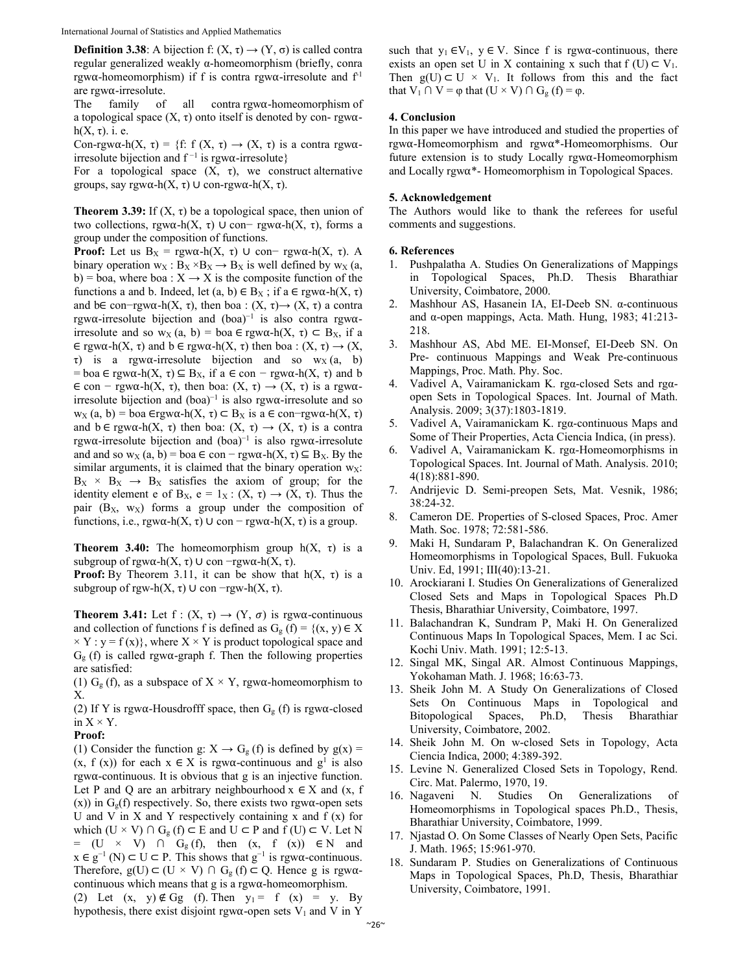**Definition 3.38:** A bijection f:  $(X, \tau) \rightarrow (Y, \sigma)$  is called contra regular generalized weakly α-homeomorphism (briefly, conra rgw $\alpha$ -homeomorphism) if f is contra rgw $\alpha$ -irresolute and  $f<sup>1</sup>$ are rgw⍺-irresolute.

The family of all contra $\gamma$  rgw $\alpha$ -homeomorphism of a topological space  $(X, \tau)$  onto itself is denoted by con-rgw $\alpha$ h( $X, \tau$ ). i. e.

Con-rgw $\alpha$ -h(X,  $\tau$ ) = {f: f (X,  $\tau$ )  $\rightarrow$  (X,  $\tau$ ) is a contra rgw $\alpha$ irresolute bijection and  $f^{-1}$  is rgwα-irresolute}

For a topological space  $(X, \tau)$ , we construct alternative groups, say rgw⍺-h(X, τ) ∪ con-rgw⍺-h(X, τ).

**Theorem 3.39:** If  $(X, \tau)$  be a topological space, then union of two collections, rgw⍺-h(X, τ) ∪ con− rgw⍺-h(X, τ), forms a group under the composition of functions.

**Proof:** Let us  $B_X = \text{rgwα-h}(X, \tau) \cup \text{con}- \text{rgwα-h}(X, \tau)$ . A binary operation  $w_X : B_X \times B_X \to B_X$  is well defined by  $w_X$  (a, b) = boa, where boa :  $X \rightarrow X$  is the composite function of the functions a and b. Indeed, let  $(a, b) \in B_X$ ; if  $a \in \text{rgwa-h}(X, \tau)$ and b∈ con-rgw $\alpha$ -h(X,  $\tau$ ), then boa : (X,  $\tau$ ) $\rightarrow$  (X,  $\tau$ ) a contra rgw⍺-irresolute bijection and (boa)−1 is also contra rgw⍺ irresolute and so w<sub>X</sub> (a, b) = boa  $\in$  rgw $\alpha$ -h(X,  $\tau$ )  $\subset$  B<sub>X</sub>, if a  $\in$  rgw $\alpha$ -h(X,  $\tau$ ) and  $b \in$  rgw $\alpha$ -h(X,  $\tau$ ) then boa : (X,  $\tau$ )  $\rightarrow$  (X, τ) is a rgwα-irresolute bijection and so  $w<sub>X</sub>$  (a, b) = boa  $\in$  rgw $\alpha$ -h(X,  $\tau$ )  $\subseteq$  B<sub>X</sub>, if a  $\in$  con  $-\text{rgw}\alpha$ -h(X,  $\tau$ ) and b  $\epsilon$  con – rgw $\alpha$ -h(X,  $\tau$ ), then boa:  $(X, \tau) \rightarrow (X, \tau)$  is a rgw $\alpha$ irresolute bijection and  $(boa)^{-1}$  is also rgwα-irresolute and so  $w_X$  (a, b) = boa ∈rgwα-h(X, τ) ⊂ B<sub>X</sub> is a ∈ con-rgwα-h(X, τ) and  $b \in \text{rgw}\alpha-h(X, \tau)$  then boa:  $(X, \tau) \to (X, \tau)$  is a contra rgw⍺-irresolute bijection and (boa)−1 is also rgw⍺-irresolute and and so w<sub>X</sub> (a, b) = boa  $\in$  con – rgw $\alpha$ -h(X,  $\tau$ )  $\subseteq$  B<sub>X</sub>. By the similar arguments, it is claimed that the binary operation  $w<sub>X</sub>$ :  $B_X \times B_X \rightarrow B_X$  satisfies the axiom of group; for the identity element e of B<sub>X</sub>, e = 1<sub>X</sub>: (X, τ)  $\rightarrow$  (X, τ). Thus the pair  $(B_X, w_X)$  forms a group under the composition of functions, i.e., rgw $\alpha$ -h(X,  $\tau$ ) ∪ con – rgw $\alpha$ -h(X,  $\tau$ ) is a group.

**Theorem 3.40:** The homeomorphism group  $h(X, \tau)$  is a subgroup of rgw $\alpha$ -h(X,  $\tau$ ) ∪ con  $\lnot$ rgw $\alpha$ -h(X,  $\tau$ ).

**Proof:** By Theorem 3.11, it can be show that  $h(X, \tau)$  is a subgroup of rgw-h(X,  $\tau$ ) ∪ con -rgw-h(X,  $\tau$ ).

**Theorem 3.41:** Let  $f : (X, \tau) \rightarrow (Y, \sigma)$  is rgw $\alpha$ -continuous and collection of functions f is defined as  $G_g$  (f) = {(x, y)  $\in X$  $\times$  Y : y = f(x)}, where X  $\times$  Y is product topological space and  $G<sub>g</sub>$  (f) is called rgw $\alpha$ -graph f. Then the following properties are satisfied:

(1)  $G_g(f)$ , as a subspace of  $X \times Y$ , rgw $\alpha$ -homeomorphism to X.

(2) If Y is rgw $\alpha$ -Housdrofff space, then  $G_g$  (f) is rgw $\alpha$ -closed in  $X \times Y$ .

## **Proof:**

(1) Consider the function g:  $X \rightarrow G_g(f)$  is defined by  $g(x) =$  $(x, f(x))$  for each  $x \in X$  is rgw $\alpha$ -continuous and  $g^1$  is also  $rgw\alpha$ -continuous. It is obvious that g is an injective function. Let P and Q are an arbitrary neighbourhood  $x \in X$  and  $(x, f)$ (x)) in  $G_g(f)$  respectively. So, there exists two rgw $\alpha$ -open sets U and V in X and Y respectively containing x and  $f(x)$  for which (U  $\times$  V) ∩ G<sub>g</sub> (f) ⊂ E and U ⊂ P and f (U) ⊂ V. Let N =  $(U \times V)$   $\cap$   $G_g(f)$ , then  $(x, f(x)) \in N$  and  $x \in g^{-1}(N) \subset U \subset P$ . This shows that  $g^{-1}$  is rgw $\alpha$ -continuous. Therefore,  $g(U) \subset (U \times V) \cap G_g(f) \subset Q$ . Hence g is rgwacontinuous which means that  $g$  is a rgw $\alpha$ -homeomorphism.

(2) Let  $(x, y) \notin Gg$  (f). Then  $y_1 = f(x) = y$ . By hypothesis, there exist disjoint rgw $\alpha$ -open sets  $V_1$  and V in Y

such that  $y_1 \in V_1$ ,  $y \in V$ . Since f is rgw $\alpha$ -continuous, there exists an open set U in X containing x such that  $f(U) \subset V_1$ . Then  $g(U) \subset U \times V_1$ . It follows from this and the fact that  $V_1 \cap V = \varphi$  that  $(U \times V) \cap G_g$   $(f) = \varphi$ .

## **4. Conclusion**

In this paper we have introduced and studied the properties of rgw⍺-Homeomorphism and rgw⍺\*-Homeomorphisms. Our future extension is to study Locally  $\gamma$  rgw $\alpha$ -Homeomorphism and Locally rgw⍺\*- Homeomorphism in Topological Spaces.

## **5. Acknowledgement**

The Authors would like to thank the referees for useful comments and suggestions.

## **6. References**

- 1. Pushpalatha A. Studies On Generalizations of Mappings in Topological Spaces, Ph.D. Thesis Bharathiar University, Coimbatore, 2000.
- 2. Mashhour AS, Hasanein IA, EI-Deeb SN. α-continuous and α-open mappings, Acta. Math. Hung, 1983; 41:213- 218.
- 3. Mashhour AS, Abd ME. EI-Monsef, EI-Deeb SN. On Pre- continuous Mappings and Weak Pre-continuous Mappings, Proc. Math. Phy. Soc.
- 4. Vadivel A, Vairamanickam K. rgα-closed Sets and rgαopen Sets in Topological Spaces. Int. Journal of Math. Analysis. 2009; 3(37):1803-1819.
- 5. Vadivel A, Vairamanickam K. rgα-continuous Maps and Some of Their Properties, Acta Ciencia Indica, (in press).
- 6. Vadivel A, Vairamanickam K. rgα-Homeomorphisms in Topological Spaces. Int. Journal of Math. Analysis. 2010; 4(18):881-890.
- 7. Andrijevic D. Semi-preopen Sets, Mat. Vesnik, 1986; 38:24-32.
- 8. Cameron DE. Properties of S-closed Spaces, Proc. Amer Math. Soc. 1978; 72:581-586.
- 9. Maki H, Sundaram P, Balachandran K. On Generalized Homeomorphisms in Topological Spaces, Bull. Fukuoka Univ. Ed, 1991; III(40):13-21.
- 10. Arockiarani I. Studies On Generalizations of Generalized Closed Sets and Maps in Topological Spaces Ph.D Thesis, Bharathiar University, Coimbatore, 1997.
- 11. Balachandran K, Sundram P, Maki H. On Generalized Continuous Maps In Topological Spaces, Mem. I ac Sci. Kochi Univ. Math. 1991; 12:5-13.
- 12. Singal MK, Singal AR. Almost Continuous Mappings, Yokohaman Math. J. 1968; 16:63-73.
- 13. Sheik John M. A Study On Generalizations of Closed Sets On Continuous Maps in Topological and Bitopological Spaces, Ph.D, Thesis Bharathiar University, Coimbatore, 2002.
- 14. Sheik John M. On w-closed Sets in Topology, Acta Ciencia Indica, 2000; 4:389-392.
- 15. Levine N. Generalized Closed Sets in Topology, Rend. Circ. Mat. Palermo, 1970, 19.
- 16. Nagaveni N. Studies On Generalizations of Homeomorphisms in Topological spaces Ph.D., Thesis, Bharathiar University, Coimbatore, 1999.
- 17. Njastad O. On Some Classes of Nearly Open Sets, Pacific J. Math. 1965; 15:961-970.
- 18. Sundaram P. Studies on Generalizations of Continuous Maps in Topological Spaces, Ph.D, Thesis, Bharathiar University, Coimbatore, 1991.